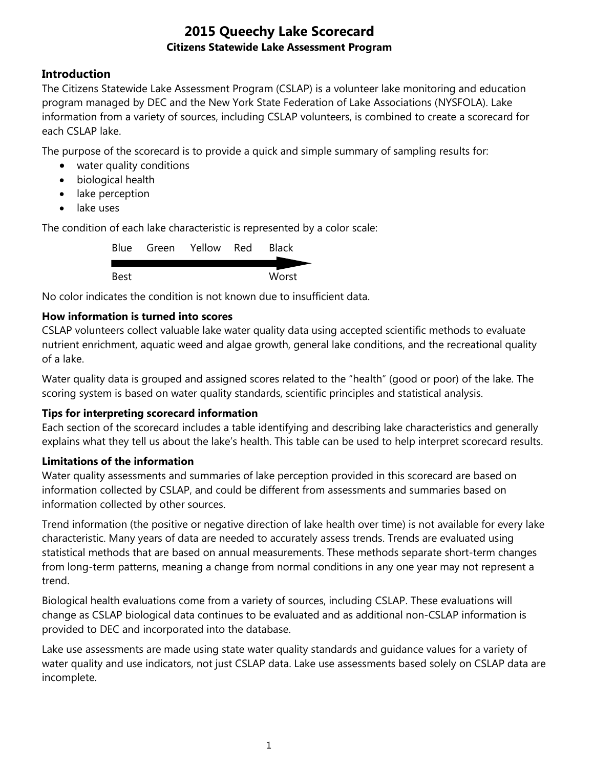## **Introduction**

The Citizens Statewide Lake Assessment Program (CSLAP) is a volunteer lake monitoring and education program managed by DEC and the New York State Federation of Lake Associations (NYSFOLA). Lake information from a variety of sources, including CSLAP volunteers, is combined to create a scorecard for each CSLAP lake.

The purpose of the scorecard is to provide a quick and simple summary of sampling results for:

- water quality conditions
- biological health
- lake perception
- lake uses

The condition of each lake characteristic is represented by a color scale:

|      | Blue Green Yellow Red | <b>Black</b> |
|------|-----------------------|--------------|
|      |                       |              |
| Best |                       | Worst        |

No color indicates the condition is not known due to insufficient data.

#### **How information is turned into scores**

CSLAP volunteers collect valuable lake water quality data using accepted scientific methods to evaluate nutrient enrichment, aquatic weed and algae growth, general lake conditions, and the recreational quality of a lake.

Water quality data is grouped and assigned scores related to the "health" (good or poor) of the lake. The scoring system is based on water quality standards, scientific principles and statistical analysis.

#### **Tips for interpreting scorecard information**

Each section of the scorecard includes a table identifying and describing lake characteristics and generally explains what they tell us about the lake's health. This table can be used to help interpret scorecard results.

#### **Limitations of the information**

Water quality assessments and summaries of lake perception provided in this scorecard are based on information collected by CSLAP, and could be different from assessments and summaries based on information collected by other sources.

Trend information (the positive or negative direction of lake health over time) is not available for every lake characteristic. Many years of data are needed to accurately assess trends. Trends are evaluated using statistical methods that are based on annual measurements. These methods separate short-term changes from long-term patterns, meaning a change from normal conditions in any one year may not represent a trend.

Biological health evaluations come from a variety of sources, including CSLAP. These evaluations will change as CSLAP biological data continues to be evaluated and as additional non-CSLAP information is provided to DEC and incorporated into the database.

Lake use assessments are made using state water quality standards and guidance values for a variety of water quality and use indicators, not just CSLAP data. Lake use assessments based solely on CSLAP data are incomplete.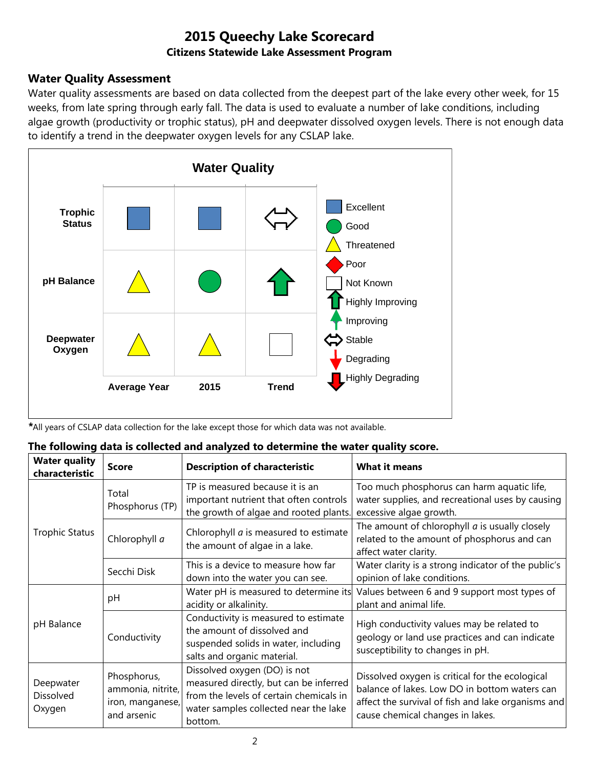## **Water Quality Assessment**

Water quality assessments are based on data collected from the deepest part of the lake every other week, for 15 weeks, from late spring through early fall. The data is used to evaluate a number of lake conditions, including algae growth (productivity or trophic status), pH and deepwater dissolved oxygen levels. There is not enough data to identify a trend in the deepwater oxygen levels for any CSLAP lake.



*\**All years of CSLAP data collection for the lake except those for which data was not available.

|  |  |  |  |  |  |  |  | The following data is collected and analyzed to determine the water quality score. |  |
|--|--|--|--|--|--|--|--|------------------------------------------------------------------------------------|--|
|--|--|--|--|--|--|--|--|------------------------------------------------------------------------------------|--|

| <b>Water quality</b><br>characteristic  | <b>Score</b>                                                        | <b>Description of characteristic</b>                                                                                                                                  | <b>What it means</b>                                                                                                                                                                       |
|-----------------------------------------|---------------------------------------------------------------------|-----------------------------------------------------------------------------------------------------------------------------------------------------------------------|--------------------------------------------------------------------------------------------------------------------------------------------------------------------------------------------|
|                                         | Total<br>Phosphorus (TP)                                            | TP is measured because it is an<br>important nutrient that often controls<br>the growth of algae and rooted plants.                                                   | Too much phosphorus can harm aquatic life,<br>water supplies, and recreational uses by causing<br>excessive algae growth.                                                                  |
| <b>Trophic Status</b>                   | Chlorophyll a                                                       | Chlorophyll <i>a</i> is measured to estimate<br>the amount of algae in a lake.                                                                                        | The amount of chlorophyll $a$ is usually closely<br>related to the amount of phosphorus and can<br>affect water clarity.                                                                   |
|                                         | Secchi Disk                                                         | This is a device to measure how far<br>down into the water you can see.                                                                                               | Water clarity is a strong indicator of the public's<br>opinion of lake conditions.                                                                                                         |
|                                         | рH                                                                  | Water pH is measured to determine its<br>acidity or alkalinity.                                                                                                       | Values between 6 and 9 support most types of<br>plant and animal life.                                                                                                                     |
| pH Balance                              | Conductivity                                                        | Conductivity is measured to estimate<br>the amount of dissolved and<br>suspended solids in water, including<br>salts and organic material.                            | High conductivity values may be related to<br>geology or land use practices and can indicate<br>susceptibility to changes in pH.                                                           |
| Deepwater<br><b>Dissolved</b><br>Oxygen | Phosphorus,<br>ammonia, nitrite,<br>iron, manganese,<br>and arsenic | Dissolved oxygen (DO) is not<br>measured directly, but can be inferred<br>from the levels of certain chemicals in<br>water samples collected near the lake<br>bottom. | Dissolved oxygen is critical for the ecological<br>balance of lakes. Low DO in bottom waters can<br>affect the survival of fish and lake organisms and<br>cause chemical changes in lakes. |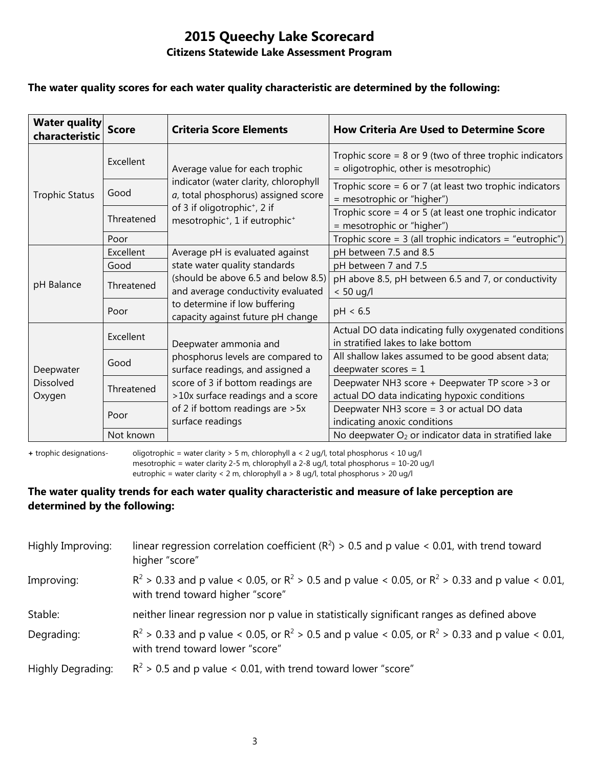#### **The water quality scores for each water quality characteristic are determined by the following:**

| <b>Water quality</b><br>characteristic  | <b>Score</b> | <b>Criteria Score Elements</b>                                                                     | <b>How Criteria Are Used to Determine Score</b>                                                      |
|-----------------------------------------|--------------|----------------------------------------------------------------------------------------------------|------------------------------------------------------------------------------------------------------|
|                                         | Excellent    | Average value for each trophic                                                                     | Trophic score = $8$ or $9$ (two of three trophic indicators<br>= oligotrophic, other is mesotrophic) |
| <b>Trophic Status</b>                   | Good         | indicator (water clarity, chlorophyll<br>a, total phosphorus) assigned score                       | Trophic score = $6$ or 7 (at least two trophic indicators<br>= mesotrophic or "higher")              |
|                                         | Threatened   | of 3 if oligotrophic <sup>+</sup> , 2 if<br>mesotrophic <sup>+</sup> , 1 if eutrophic <sup>+</sup> | Trophic score = $4$ or $5$ (at least one trophic indicator<br>= mesotrophic or "higher")             |
|                                         | Poor         |                                                                                                    | Trophic score = $3$ (all trophic indicators = "eutrophic")                                           |
|                                         | Excellent    | Average pH is evaluated against                                                                    | pH between 7.5 and 8.5                                                                               |
|                                         | Good         | state water quality standards                                                                      | pH between 7 and 7.5                                                                                 |
| pH Balance                              | Threatened   | (should be above 6.5 and below 8.5)<br>and average conductivity evaluated                          | pH above 8.5, pH between 6.5 and 7, or conductivity<br>$< 50$ ug/l                                   |
|                                         | Poor         | to determine if low buffering<br>capacity against future pH change                                 | pH < 6.5                                                                                             |
| Deepwater<br><b>Dissolved</b><br>Oxygen | Excellent    | Deepwater ammonia and                                                                              | Actual DO data indicating fully oxygenated conditions<br>in stratified lakes to lake bottom          |
|                                         | Good         | phosphorus levels are compared to<br>surface readings, and assigned a                              | All shallow lakes assumed to be good absent data;<br>deepwater scores = $1$                          |
|                                         | Threatened   | score of 3 if bottom readings are<br>>10x surface readings and a score                             | Deepwater NH3 score + Deepwater TP score > 3 or<br>actual DO data indicating hypoxic conditions      |
|                                         | Poor         | of 2 if bottom readings are > 5x<br>surface readings                                               | Deepwater NH3 score = 3 or actual DO data<br>indicating anoxic conditions                            |
|                                         | Not known    |                                                                                                    | No deepwater O <sub>2</sub> or indicator data in stratified lake                                     |

**+** trophic designations- oligotrophic = water clarity > 5 m, chlorophyll a < 2 ug/l, total phosphorus < 10 ug/l mesotrophic = water clarity 2-5 m, chlorophyll a 2-8 ug/l, total phosphorus = 10-20 ug/l

eutrophic = water clarity < 2 m, chlorophyll a > 8 ug/l, total phosphorus > 20 ug/l

#### **The water quality trends for each water quality characteristic and measure of lake perception are determined by the following:**

| Highly Improving: | linear regression correlation coefficient ( $R^2$ ) > 0.5 and p value < 0.01, with trend toward<br>higher "score"                           |
|-------------------|---------------------------------------------------------------------------------------------------------------------------------------------|
| Improving:        | $R^2 > 0.33$ and p value < 0.05, or $R^2 > 0.5$ and p value < 0.05, or $R^2 > 0.33$ and p value < 0.01,<br>with trend toward higher "score" |
| Stable:           | neither linear regression nor p value in statistically significant ranges as defined above                                                  |
| Degrading:        | $R^2 > 0.33$ and p value < 0.05, or $R^2 > 0.5$ and p value < 0.05, or $R^2 > 0.33$ and p value < 0.01,<br>with trend toward lower "score"  |
| Highly Degrading: | $R^2$ > 0.5 and p value < 0.01, with trend toward lower "score"                                                                             |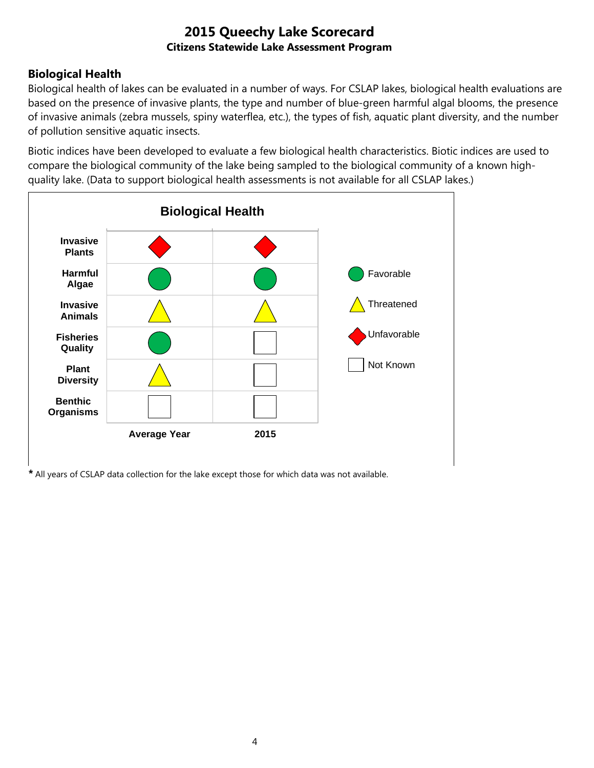## **Biological Health**

Biological health of lakes can be evaluated in a number of ways. For CSLAP lakes, biological health evaluations are based on the presence of invasive plants, the type and number of blue-green harmful algal blooms, the presence of invasive animals (zebra mussels, spiny waterflea, etc.), the types of fish, aquatic plant diversity, and the number of pollution sensitive aquatic insects.

Biotic indices have been developed to evaluate a few biological health characteristics. Biotic indices are used to compare the biological community of the lake being sampled to the biological community of a known highquality lake. (Data to support biological health assessments is not available for all CSLAP lakes.)



*\** All years of CSLAP data collection for the lake except those for which data was not available.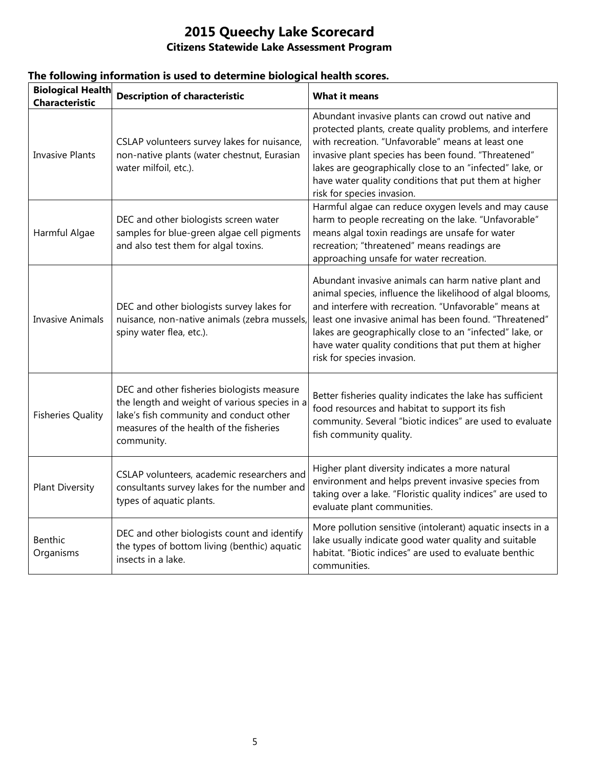| <b>Biological Health</b><br><b>Characteristic</b> | <b>Description of characteristic</b>                                                                                                                                                            | <b>What it means</b>                                                                                                                                                                                                                                                                                                                                                                   |
|---------------------------------------------------|-------------------------------------------------------------------------------------------------------------------------------------------------------------------------------------------------|----------------------------------------------------------------------------------------------------------------------------------------------------------------------------------------------------------------------------------------------------------------------------------------------------------------------------------------------------------------------------------------|
| <b>Invasive Plants</b>                            | CSLAP volunteers survey lakes for nuisance,<br>non-native plants (water chestnut, Eurasian<br>water milfoil, etc.).                                                                             | Abundant invasive plants can crowd out native and<br>protected plants, create quality problems, and interfere<br>with recreation. "Unfavorable" means at least one<br>invasive plant species has been found. "Threatened"<br>lakes are geographically close to an "infected" lake, or<br>have water quality conditions that put them at higher<br>risk for species invasion.           |
| Harmful Algae                                     | DEC and other biologists screen water<br>samples for blue-green algae cell pigments<br>and also test them for algal toxins.                                                                     | Harmful algae can reduce oxygen levels and may cause<br>harm to people recreating on the lake. "Unfavorable"<br>means algal toxin readings are unsafe for water<br>recreation; "threatened" means readings are<br>approaching unsafe for water recreation.                                                                                                                             |
| <b>Invasive Animals</b>                           | DEC and other biologists survey lakes for<br>nuisance, non-native animals (zebra mussels,<br>spiny water flea, etc.).                                                                           | Abundant invasive animals can harm native plant and<br>animal species, influence the likelihood of algal blooms,<br>and interfere with recreation. "Unfavorable" means at<br>least one invasive animal has been found. "Threatened"<br>lakes are geographically close to an "infected" lake, or<br>have water quality conditions that put them at higher<br>risk for species invasion. |
| <b>Fisheries Quality</b>                          | DEC and other fisheries biologists measure<br>the length and weight of various species in a<br>lake's fish community and conduct other<br>measures of the health of the fisheries<br>community. | Better fisheries quality indicates the lake has sufficient<br>food resources and habitat to support its fish<br>community. Several "biotic indices" are used to evaluate<br>fish community quality.                                                                                                                                                                                    |
| <b>Plant Diversity</b>                            | CSLAP volunteers, academic researchers and<br>consultants survey lakes for the number and<br>types of aquatic plants.                                                                           | Higher plant diversity indicates a more natural<br>environment and helps prevent invasive species from<br>taking over a lake. "Floristic quality indices" are used to<br>evaluate plant communities.                                                                                                                                                                                   |
| Benthic<br>Organisms                              | DEC and other biologists count and identify<br>the types of bottom living (benthic) aquatic<br>insects in a lake.                                                                               | More pollution sensitive (intolerant) aquatic insects in a<br>lake usually indicate good water quality and suitable<br>habitat. "Biotic indices" are used to evaluate benthic<br>communities.                                                                                                                                                                                          |

## **The following information is used to determine biological health scores.**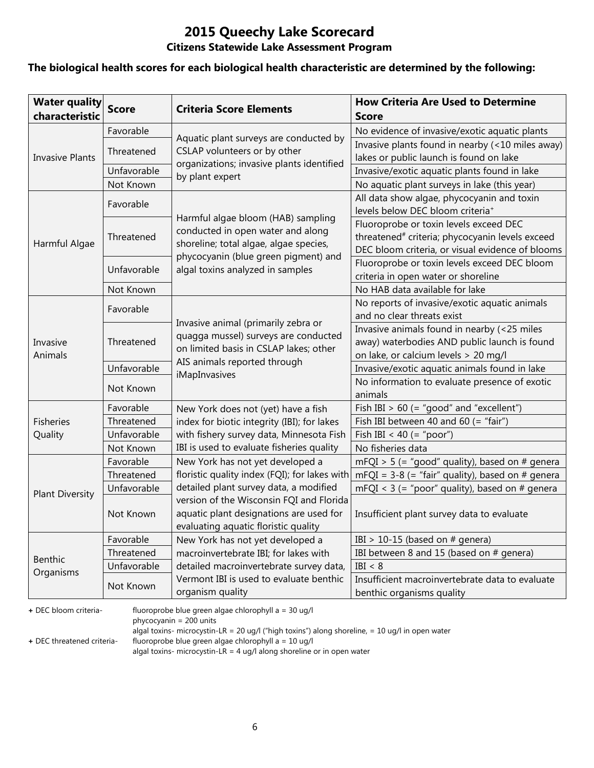# **2015 Queechy Lake Scorecard**

### **Citizens Statewide Lake Assessment Program**

#### **The biological health scores for each biological health characteristic are determined by the following:**

| <b>Water quality</b><br>characteristic | <b>Score</b> | <b>Criteria Score Elements</b>                                                                                              | <b>How Criteria Are Used to Determine</b><br><b>Score</b>                                                                                                 |
|----------------------------------------|--------------|-----------------------------------------------------------------------------------------------------------------------------|-----------------------------------------------------------------------------------------------------------------------------------------------------------|
|                                        | Favorable    |                                                                                                                             | No evidence of invasive/exotic aquatic plants                                                                                                             |
|                                        | Threatened   | Aquatic plant surveys are conducted by<br>CSLAP volunteers or by other                                                      | Invasive plants found in nearby (<10 miles away)                                                                                                          |
| <b>Invasive Plants</b>                 |              | organizations; invasive plants identified                                                                                   | lakes or public launch is found on lake                                                                                                                   |
|                                        | Unfavorable  | by plant expert                                                                                                             | Invasive/exotic aquatic plants found in lake                                                                                                              |
|                                        | Not Known    |                                                                                                                             | No aquatic plant surveys in lake (this year)                                                                                                              |
|                                        | Favorable    |                                                                                                                             | All data show algae, phycocyanin and toxin<br>levels below DEC bloom criteria <sup>+</sup>                                                                |
| Harmful Algae                          | Threatened   | Harmful algae bloom (HAB) sampling<br>conducted in open water and along<br>shoreline; total algae, algae species,           | Fluoroprobe or toxin levels exceed DEC<br>threatened <sup>#</sup> criteria; phycocyanin levels exceed<br>DEC bloom criteria, or visual evidence of blooms |
|                                        | Unfavorable  | phycocyanin (blue green pigment) and<br>algal toxins analyzed in samples                                                    | Fluoroprobe or toxin levels exceed DEC bloom<br>criteria in open water or shoreline                                                                       |
|                                        | Not Known    |                                                                                                                             | No HAB data available for lake                                                                                                                            |
|                                        | Favorable    |                                                                                                                             | No reports of invasive/exotic aquatic animals                                                                                                             |
|                                        |              | Invasive animal (primarily zebra or                                                                                         | and no clear threats exist                                                                                                                                |
| Invasive<br>Animals                    | Threatened   | quagga mussel) surveys are conducted<br>on limited basis in CSLAP lakes; other                                              | Invasive animals found in nearby (<25 miles<br>away) waterbodies AND public launch is found<br>on lake, or calcium levels > 20 mg/l                       |
|                                        | Unfavorable  | AIS animals reported through                                                                                                | Invasive/exotic aquatic animals found in lake                                                                                                             |
|                                        | Not Known    | iMapInvasives                                                                                                               | No information to evaluate presence of exotic<br>animals                                                                                                  |
|                                        | Favorable    | New York does not (yet) have a fish                                                                                         | Fish IBI $> 60$ (= "good" and "excellent")                                                                                                                |
| <b>Fisheries</b>                       | Threatened   | index for biotic integrity (IBI); for lakes                                                                                 | Fish IBI between 40 and 60 (= "fair")                                                                                                                     |
| Quality                                | Unfavorable  | with fishery survey data, Minnesota Fish                                                                                    | Fish IBI < 40 (= "poor")                                                                                                                                  |
|                                        | Not Known    | IBI is used to evaluate fisheries quality                                                                                   | No fisheries data                                                                                                                                         |
|                                        | Favorable    | New York has not yet developed a                                                                                            | mFQI > 5 (= "good" quality), based on # genera                                                                                                            |
|                                        | Threatened   | floristic quality index (FQI); for lakes with                                                                               | mFQI = $3-8$ (= "fair" quality), based on # genera                                                                                                        |
| <b>Plant Diversity</b>                 | Unfavorable  | detailed plant survey data, a modified                                                                                      | mFQI < $3$ (= "poor" quality), based on # genera                                                                                                          |
|                                        | Not Known    | version of the Wisconsin FQI and Florida<br>aquatic plant designations are used for<br>evaluating aquatic floristic quality | Insufficient plant survey data to evaluate                                                                                                                |
|                                        | Favorable    | New York has not yet developed a                                                                                            | IBI > 10-15 (based on $#$ genera)                                                                                                                         |
| <b>Benthic</b>                         | Threatened   | macroinvertebrate IBI; for lakes with                                                                                       | IBI between 8 and 15 (based on # genera)                                                                                                                  |
| Organisms                              | Unfavorable  | detailed macroinvertebrate survey data,                                                                                     | IBI < 8                                                                                                                                                   |
|                                        | Not Known    | Vermont IBI is used to evaluate benthic<br>organism quality                                                                 | Insufficient macroinvertebrate data to evaluate<br>benthic organisms quality                                                                              |

**+** DEC bloom criteria- fluoroprobe blue green algae chlorophyll a = 30 ug/l

phycocyanin = 200 units

algal toxins- microcystin-LR = 20 ug/l ("high toxins") along shoreline, = 10 ug/l in open water

**+** DEC threatened criteria- fluoroprobe blue green algae chlorophyll a = 10 ug/l

algal toxins- microcystin-LR = 4 ug/l along shoreline or in open water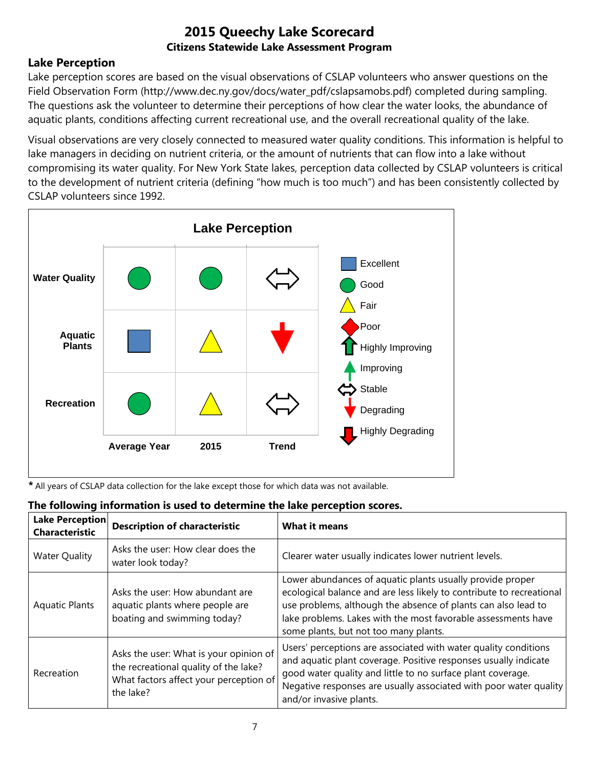## **Lake Perception**

Lake perception scores are based on the visual observations of CSLAP volunteers who answer questions on the Field Observation Form (http://www.dec.ny.gov/docs/water\_pdf/cslapsamobs.pdf) completed during sampling. The questions ask the volunteer to determine their perceptions of how clear the water looks, the abundance of aquatic plants, conditions affecting current recreational use, and the overall recreational quality of the lake.

Visual observations are very closely connected to measured water quality conditions. This information is helpful to lake managers in deciding on nutrient criteria, or the amount of nutrients that can flow into a lake without compromising its water quality. For New York State lakes, perception data collected by CSLAP volunteers is critical to the development of nutrient criteria (defining "how much is too much") and has been consistently collected by CSLAP volunteers since 1992.



*\** All years of CSLAP data collection for the lake except those for which data was not available.

| <b>Lake Perception</b><br><b>Characteristic</b> | <b>Description of characteristic</b>                                                                                                   | <b>What it means</b>                                                                                                                                                                                                                                                                                         |
|-------------------------------------------------|----------------------------------------------------------------------------------------------------------------------------------------|--------------------------------------------------------------------------------------------------------------------------------------------------------------------------------------------------------------------------------------------------------------------------------------------------------------|
| <b>Water Quality</b>                            | Asks the user: How clear does the<br>water look today?                                                                                 | Clearer water usually indicates lower nutrient levels.                                                                                                                                                                                                                                                       |
| <b>Aquatic Plants</b>                           | Asks the user: How abundant are<br>aquatic plants where people are<br>boating and swimming today?                                      | Lower abundances of aquatic plants usually provide proper<br>ecological balance and are less likely to contribute to recreational<br>use problems, although the absence of plants can also lead to<br>lake problems. Lakes with the most favorable assessments have<br>some plants, but not too many plants. |
| Recreation                                      | Asks the user: What is your opinion of<br>the recreational quality of the lake?<br>What factors affect your perception of<br>the lake? | Users' perceptions are associated with water quality conditions<br>and aquatic plant coverage. Positive responses usually indicate<br>good water quality and little to no surface plant coverage.<br>Negative responses are usually associated with poor water quality<br>and/or invasive plants.            |

# **The following information is used to determine the lake perception scores.**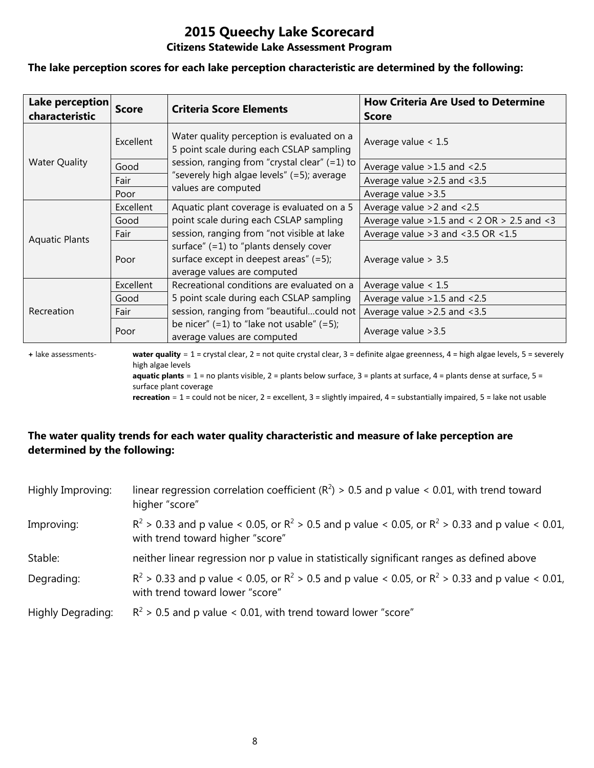# **2015 Queechy Lake Scorecard**

#### **Citizens Statewide Lake Assessment Program**

#### **The lake perception scores for each lake perception characteristic are determined by the following:**

| Lake perception<br>characteristic | <b>Score</b> | <b>Criteria Score Elements</b>                                                                                       | <b>How Criteria Are Used to Determine</b><br><b>Score</b> |
|-----------------------------------|--------------|----------------------------------------------------------------------------------------------------------------------|-----------------------------------------------------------|
|                                   | Excellent    | Water quality perception is evaluated on a<br>5 point scale during each CSLAP sampling                               | Average value $< 1.5$                                     |
| <b>Water Quality</b>              | Good         | session, ranging from "crystal clear" (=1) to                                                                        | Average value > 1.5 and < 2.5                             |
|                                   | Fair         | "severely high algae levels" (=5); average                                                                           | Average value $>2.5$ and $<3.5$                           |
|                                   | Poor         | values are computed                                                                                                  | Average value > 3.5                                       |
|                                   | Excellent    | Aquatic plant coverage is evaluated on a 5                                                                           | Average value $>2$ and $< 2.5$                            |
|                                   | Good         | point scale during each CSLAP sampling                                                                               | Average value $>1.5$ and < 2 OR $> 2.5$ and < 3           |
| <b>Aquatic Plants</b>             | Fair         | session, ranging from "not visible at lake                                                                           | Average value $>3$ and $<3.5$ OR $<1.5$                   |
|                                   | Poor         | surface" $(=1)$ to "plants densely cover<br>surface except in deepest areas" $(=5)$ ;<br>average values are computed | Average value $> 3.5$                                     |
|                                   | Excellent    | Recreational conditions are evaluated on a                                                                           | Average value $< 1.5$                                     |
| Recreation                        | Good         | 5 point scale during each CSLAP sampling                                                                             | Average value $>1.5$ and $<2.5$                           |
|                                   | Fair         | session, ranging from "beautifulcould not                                                                            | Average value $>2.5$ and $<3.5$                           |
|                                   | Poor         | be nicer" $(=1)$ to "lake not usable" $(=5)$ ;<br>average values are computed                                        | Average value > 3.5                                       |

**+** lake assessments- **water quality** = 1 = crystal clear, 2 = not quite crystal clear, 3 = definite algae greenness, 4 = high algae levels, 5 = severely high algae levels **aquatic plants** = 1 = no plants visible, 2 = plants below surface, 3 = plants at surface, 4 = plants dense at surface, 5 =

surface plant coverage

**recreation** = 1 = could not be nicer, 2 = excellent, 3 = slightly impaired, 4 = substantially impaired, 5 = lake not usable

### **The water quality trends for each water quality characteristic and measure of lake perception are determined by the following:**

| Highly Improving: | linear regression correlation coefficient ( $R^2$ ) > 0.5 and p value < 0.01, with trend toward<br>higher "score"                           |
|-------------------|---------------------------------------------------------------------------------------------------------------------------------------------|
| Improving:        | $R^2 > 0.33$ and p value < 0.05, or $R^2 > 0.5$ and p value < 0.05, or $R^2 > 0.33$ and p value < 0.01,<br>with trend toward higher "score" |
| Stable:           | neither linear regression nor p value in statistically significant ranges as defined above                                                  |
| Degrading:        | $R^2$ > 0.33 and p value < 0.05, or $R^2$ > 0.5 and p value < 0.05, or $R^2$ > 0.33 and p value < 0.01,<br>with trend toward lower "score"  |
| Highly Degrading: | $R^2$ > 0.5 and p value < 0.01, with trend toward lower "score"                                                                             |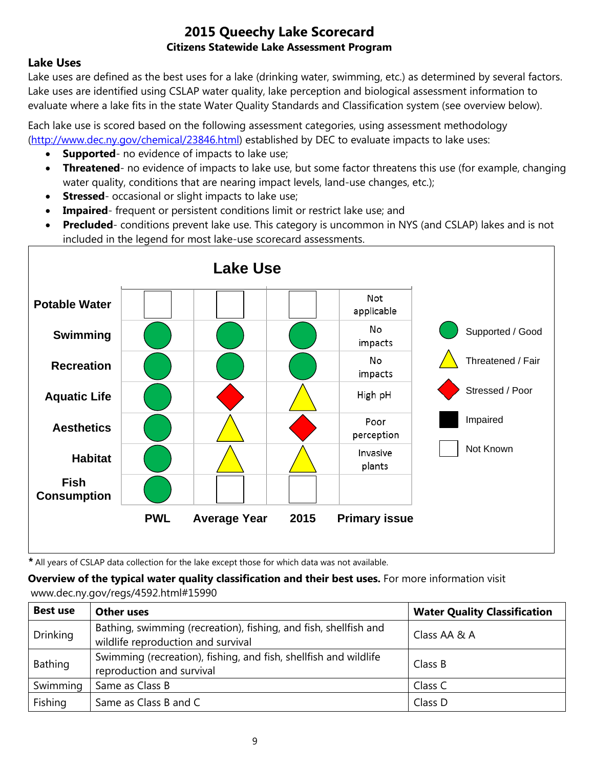## **Lake Uses**

Lake uses are defined as the best uses for a lake (drinking water, swimming, etc.) as determined by several factors. Lake uses are identified using CSLAP water quality, lake perception and biological assessment information to evaluate where a lake fits in the state Water Quality Standards and Classification system (see overview below).

Each lake use is scored based on the following assessment categories, using assessment methodology [\(http://www.dec.ny.gov/chemical/23846.html\)](http://www.dec.ny.gov/chemical/23846.html) established by DEC to evaluate impacts to lake uses:

- **Supported** no evidence of impacts to lake use;
- **Threatened** no evidence of impacts to lake use, but some factor threatens this use (for example, changing water quality, conditions that are nearing impact levels, land-use changes, etc.);
- **Stressed** occasional or slight impacts to lake use;
- **Impaired** frequent or persistent conditions limit or restrict lake use; and
- **Precluded** conditions prevent lake use. This category is uncommon in NYS (and CSLAP) lakes and is not included in the legend for most lake-use scorecard assessments.



*\** All years of CSLAP data collection for the lake except those for which data was not available.

**Overview of the typical water quality classification and their best uses.** For more information visit www.dec.ny.gov/regs/4592.html#15990

| <b>Best use</b> | <b>Other uses</b>                                                                                      | <b>Water Quality Classification</b> |
|-----------------|--------------------------------------------------------------------------------------------------------|-------------------------------------|
| <b>Drinking</b> | Bathing, swimming (recreation), fishing, and fish, shellfish and<br>wildlife reproduction and survival | Class AA & A                        |
| Bathing         | Swimming (recreation), fishing, and fish, shellfish and wildlife<br>reproduction and survival          | Class B                             |
| Swimming        | Same as Class B                                                                                        | Class C                             |
| Fishing         | Same as Class B and C                                                                                  | Class D                             |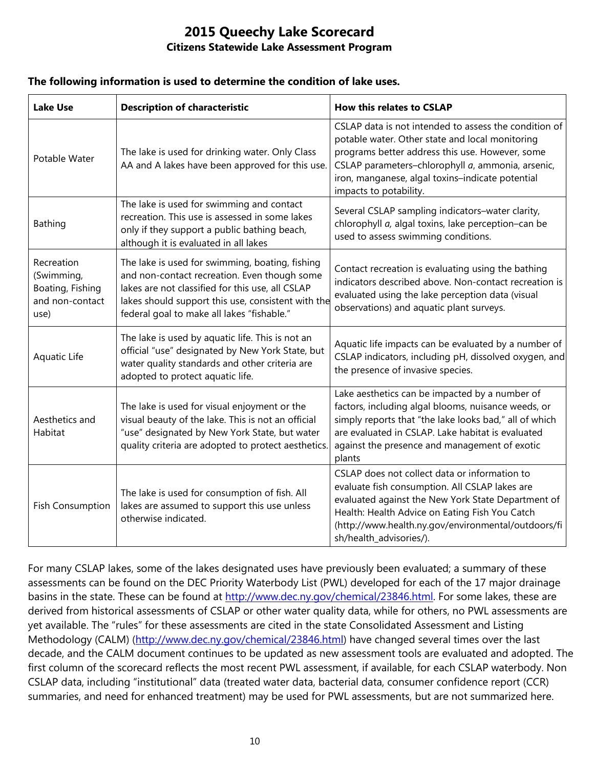#### **The following information is used to determine the condition of lake uses.**

| <b>Lake Use</b>                                                         | <b>Description of characteristic</b>                                                                                                                                                                                                                    | <b>How this relates to CSLAP</b>                                                                                                                                                                                                                                                               |
|-------------------------------------------------------------------------|---------------------------------------------------------------------------------------------------------------------------------------------------------------------------------------------------------------------------------------------------------|------------------------------------------------------------------------------------------------------------------------------------------------------------------------------------------------------------------------------------------------------------------------------------------------|
| Potable Water                                                           | The lake is used for drinking water. Only Class<br>AA and A lakes have been approved for this use.                                                                                                                                                      | CSLAP data is not intended to assess the condition of<br>potable water. Other state and local monitoring<br>programs better address this use. However, some<br>CSLAP parameters-chlorophyll a, ammonia, arsenic,<br>iron, manganese, algal toxins-indicate potential<br>impacts to potability. |
| Bathing                                                                 | The lake is used for swimming and contact<br>recreation. This use is assessed in some lakes<br>only if they support a public bathing beach,<br>although it is evaluated in all lakes                                                                    | Several CSLAP sampling indicators-water clarity,<br>chlorophyll a, algal toxins, lake perception-can be<br>used to assess swimming conditions.                                                                                                                                                 |
| Recreation<br>(Swimming,<br>Boating, Fishing<br>and non-contact<br>use) | The lake is used for swimming, boating, fishing<br>and non-contact recreation. Even though some<br>lakes are not classified for this use, all CSLAP<br>lakes should support this use, consistent with the<br>federal goal to make all lakes "fishable." | Contact recreation is evaluating using the bathing<br>indicators described above. Non-contact recreation is<br>evaluated using the lake perception data (visual<br>observations) and aquatic plant surveys.                                                                                    |
| Aquatic Life                                                            | The lake is used by aquatic life. This is not an<br>official "use" designated by New York State, but<br>water quality standards and other criteria are<br>adopted to protect aquatic life.                                                              | Aquatic life impacts can be evaluated by a number of<br>CSLAP indicators, including pH, dissolved oxygen, and<br>the presence of invasive species.                                                                                                                                             |
| Aesthetics and<br>Habitat                                               | The lake is used for visual enjoyment or the<br>visual beauty of the lake. This is not an official<br>"use" designated by New York State, but water<br>quality criteria are adopted to protect aesthetics.                                              | Lake aesthetics can be impacted by a number of<br>factors, including algal blooms, nuisance weeds, or<br>simply reports that "the lake looks bad," all of which<br>are evaluated in CSLAP. Lake habitat is evaluated<br>against the presence and management of exotic<br>plants                |
| <b>Fish Consumption</b>                                                 | The lake is used for consumption of fish. All<br>lakes are assumed to support this use unless<br>otherwise indicated.                                                                                                                                   | CSLAP does not collect data or information to<br>evaluate fish consumption. All CSLAP lakes are<br>evaluated against the New York State Department of<br>Health: Health Advice on Eating Fish You Catch<br>(http://www.health.ny.gov/environmental/outdoors/fi<br>sh/health_advisories/).      |

For many CSLAP lakes, some of the lakes designated uses have previously been evaluated; a summary of these assessments can be found on the DEC Priority Waterbody List (PWL) developed for each of the 17 major drainage basins in the state. These can be found at [http://www.dec.ny.gov/chemical/23846.html.](http://www.dec.ny.gov/chemical/23846.html) For some lakes, these are derived from historical assessments of CSLAP or other water quality data, while for others, no PWL assessments are yet available. The "rules" for these assessments are cited in the state Consolidated Assessment and Listing Methodology (CALM) [\(http://www.dec.ny.gov/chemical/23846.html\)](http://www.dec.ny.gov/chemical/23846.html) have changed several times over the last decade, and the CALM document continues to be updated as new assessment tools are evaluated and adopted. The first column of the scorecard reflects the most recent PWL assessment, if available, for each CSLAP waterbody. Non CSLAP data, including "institutional" data (treated water data, bacterial data, consumer confidence report (CCR) summaries, and need for enhanced treatment) may be used for PWL assessments, but are not summarized here.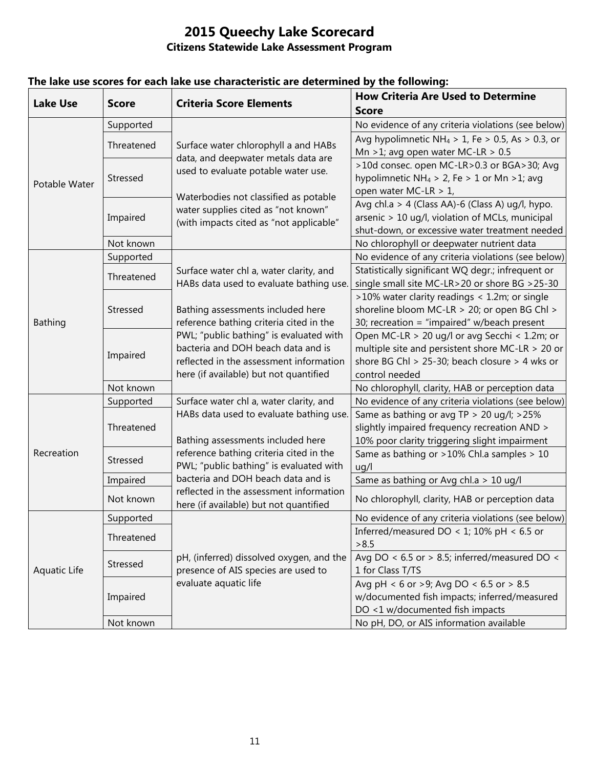| <b>Lake Use</b> | <b>Score</b> | <b>Criteria Score Elements</b>                                                                                          | <b>How Criteria Are Used to Determine</b><br><b>Score</b>    |
|-----------------|--------------|-------------------------------------------------------------------------------------------------------------------------|--------------------------------------------------------------|
| Potable Water   | Supported    | Surface water chlorophyll a and HABs<br>data, and deepwater metals data are<br>used to evaluate potable water use.      | No evidence of any criteria violations (see below)           |
|                 | Threatened   |                                                                                                                         | Avg hypolimnetic NH <sub>4</sub> > 1, Fe > 0.5, As > 0.3, or |
|                 |              |                                                                                                                         | Mn >1; avg open water MC-LR > $0.5$                          |
|                 | Stressed     |                                                                                                                         | >10d consec. open MC-LR>0.3 or BGA>30; Avg                   |
|                 |              |                                                                                                                         | hypolimnetic NH <sub>4</sub> > 2, Fe > 1 or Mn > 1; avg      |
|                 |              | Waterbodies not classified as potable<br>water supplies cited as "not known"<br>(with impacts cited as "not applicable" | open water MC-LR > 1,                                        |
|                 | Impaired     |                                                                                                                         | Avg chl.a > 4 (Class AA)-6 (Class A) ug/l, hypo.             |
|                 |              |                                                                                                                         | arsenic > 10 ug/l, violation of MCLs, municipal              |
|                 |              |                                                                                                                         | shut-down, or excessive water treatment needed               |
|                 | Not known    |                                                                                                                         | No chlorophyll or deepwater nutrient data                    |
|                 | Supported    |                                                                                                                         | No evidence of any criteria violations (see below)           |
|                 | Threatened   | Surface water chl a, water clarity, and                                                                                 | Statistically significant WQ degr.; infrequent or            |
|                 |              | HABs data used to evaluate bathing use.                                                                                 | single small site MC-LR>20 or shore BG >25-30                |
|                 | Stressed     |                                                                                                                         | >10% water clarity readings < 1.2m; or single                |
|                 |              | Bathing assessments included here                                                                                       | shoreline bloom MC-LR > 20; or open BG Chl >                 |
| Bathing         |              | reference bathing criteria cited in the                                                                                 | 30; recreation = "impaired" w/beach present                  |
|                 | Impaired     | PWL; "public bathing" is evaluated with                                                                                 | Open MC-LR > 20 ug/l or avg Secchi < 1.2m; or                |
|                 |              | bacteria and DOH beach data and is                                                                                      | multiple site and persistent shore MC-LR > 20 or             |
|                 |              | reflected in the assessment information                                                                                 | shore BG Chl > 25-30; beach closure > 4 wks or               |
|                 |              | here (if available) but not quantified                                                                                  | control needed                                               |
|                 | Not known    |                                                                                                                         | No chlorophyll, clarity, HAB or perception data              |
|                 | Supported    | Surface water chl a, water clarity, and                                                                                 | No evidence of any criteria violations (see below)           |
|                 | Threatened   | HABs data used to evaluate bathing use.                                                                                 | Same as bathing or avg TP > 20 ug/l; >25%                    |
| Recreation      |              |                                                                                                                         | slightly impaired frequency recreation AND >                 |
|                 |              | Bathing assessments included here                                                                                       | 10% poor clarity triggering slight impairment                |
|                 | Stressed     | reference bathing criteria cited in the                                                                                 | Same as bathing or >10% Chl.a samples > 10                   |
|                 |              | PWL; "public bathing" is evaluated with                                                                                 | uq/l                                                         |
|                 | Impaired     | bacteria and DOH beach data and is                                                                                      | Same as bathing or Avg chl.a > 10 ug/l                       |
|                 | Not known    | reflected in the assessment information<br>here (if available) but not quantified                                       | No chlorophyll, clarity, HAB or perception data              |
| Aquatic Life    | Supported    |                                                                                                                         | No evidence of any criteria violations (see below)           |
|                 | Threatened   |                                                                                                                         | Inferred/measured DO < 1; 10% pH < 6.5 or                    |
|                 |              |                                                                                                                         | > 8.5                                                        |
|                 | Stressed     | pH, (inferred) dissolved oxygen, and the                                                                                | Avg DO < $6.5$ or > 8.5; inferred/measured DO <              |
|                 |              | presence of AIS species are used to                                                                                     | 1 for Class T/TS                                             |
|                 | Impaired     | evaluate aquatic life                                                                                                   | Avg pH < 6 or >9; Avg DO < 6.5 or > 8.5                      |
|                 |              |                                                                                                                         | w/documented fish impacts; inferred/measured                 |
|                 |              |                                                                                                                         | DO <1 w/documented fish impacts                              |
|                 | Not known    |                                                                                                                         | No pH, DO, or AIS information available                      |

## **The lake use scores for each lake use characteristic are determined by the following:**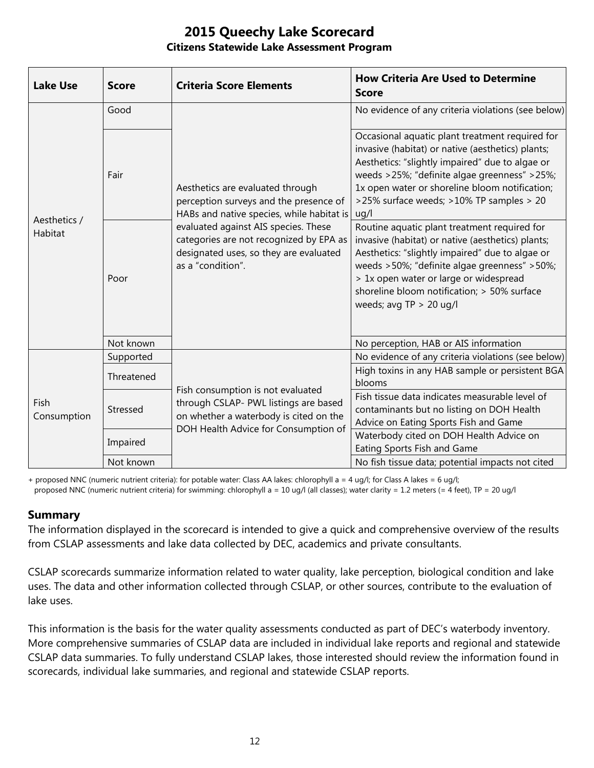| <b>Lake Use</b>         | <b>Score</b> | <b>Criteria Score Elements</b>                                                                                                                                                                                                                                            | <b>How Criteria Are Used to Determine</b><br><b>Score</b>                                                                                                                                                                                                                                                                  |
|-------------------------|--------------|---------------------------------------------------------------------------------------------------------------------------------------------------------------------------------------------------------------------------------------------------------------------------|----------------------------------------------------------------------------------------------------------------------------------------------------------------------------------------------------------------------------------------------------------------------------------------------------------------------------|
| Aesthetics /<br>Habitat | Good         | Aesthetics are evaluated through<br>perception surveys and the presence of<br>HABs and native species, while habitat is<br>evaluated against AIS species. These<br>categories are not recognized by EPA as<br>designated uses, so they are evaluated<br>as a "condition". | No evidence of any criteria violations (see below)                                                                                                                                                                                                                                                                         |
|                         | Fair         |                                                                                                                                                                                                                                                                           | Occasional aquatic plant treatment required for<br>invasive (habitat) or native (aesthetics) plants;<br>Aesthetics: "slightly impaired" due to algae or<br>weeds >25%; "definite algae greenness" >25%;<br>1x open water or shoreline bloom notification;<br>>25% surface weeds; >10% TP samples > 20<br>uq/l              |
|                         | Poor         |                                                                                                                                                                                                                                                                           | Routine aquatic plant treatment required for<br>invasive (habitat) or native (aesthetics) plants;<br>Aesthetics: "slightly impaired" due to algae or<br>weeds >50%; "definite algae greenness" >50%;<br>> 1x open water or large or widespread<br>shoreline bloom notification; > 50% surface<br>weeds; avg $TP > 20$ ug/l |
|                         | Not known    |                                                                                                                                                                                                                                                                           | No perception, HAB or AIS information                                                                                                                                                                                                                                                                                      |
| Fish<br>Consumption     | Supported    | Fish consumption is not evaluated<br>through CSLAP- PWL listings are based<br>on whether a waterbody is cited on the<br>DOH Health Advice for Consumption of                                                                                                              | No evidence of any criteria violations (see below)                                                                                                                                                                                                                                                                         |
|                         | Threatened   |                                                                                                                                                                                                                                                                           | High toxins in any HAB sample or persistent BGA<br>blooms                                                                                                                                                                                                                                                                  |
|                         | Stressed     |                                                                                                                                                                                                                                                                           | Fish tissue data indicates measurable level of<br>contaminants but no listing on DOH Health<br>Advice on Eating Sports Fish and Game                                                                                                                                                                                       |
|                         | Impaired     |                                                                                                                                                                                                                                                                           | Waterbody cited on DOH Health Advice on<br>Eating Sports Fish and Game                                                                                                                                                                                                                                                     |
|                         | Not known    |                                                                                                                                                                                                                                                                           | No fish tissue data; potential impacts not cited                                                                                                                                                                                                                                                                           |

+ proposed NNC (numeric nutrient criteria): for potable water: Class AA lakes: chlorophyll a = 4 ug/l; for Class A lakes = 6 ug/l; proposed NNC (numeric nutrient criteria) for swimming: chlorophyll a = 10 ug/l (all classes); water clarity = 1.2 meters (= 4 feet), TP = 20 ug/l

#### **Summary**

The information displayed in the scorecard is intended to give a quick and comprehensive overview of the results from CSLAP assessments and lake data collected by DEC, academics and private consultants.

CSLAP scorecards summarize information related to water quality, lake perception, biological condition and lake uses. The data and other information collected through CSLAP, or other sources, contribute to the evaluation of lake uses.

This information is the basis for the water quality assessments conducted as part of DEC's waterbody inventory. More comprehensive summaries of CSLAP data are included in individual lake reports and regional and statewide CSLAP data summaries. To fully understand CSLAP lakes, those interested should review the information found in scorecards, individual lake summaries, and regional and statewide CSLAP reports.